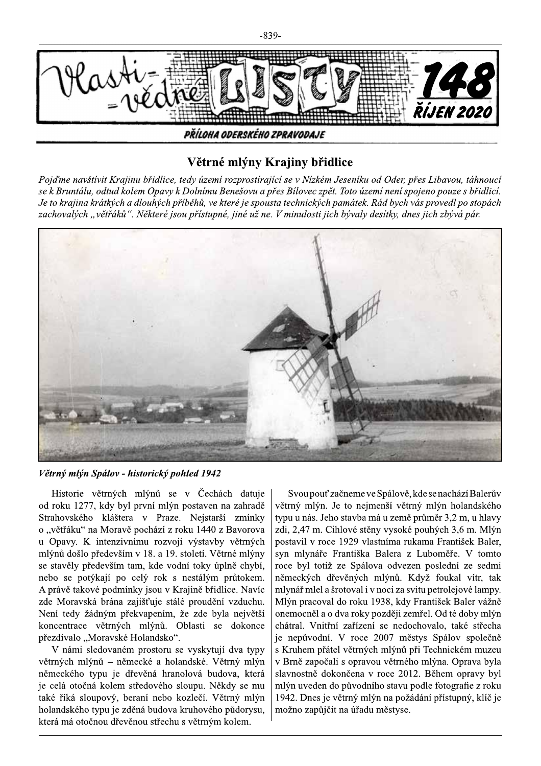

## Větrné mlýny Krajiny břidlice

Pojd'me navštívit Krajinu břidlice, tedy území rozprostírající se v Nízkém Jeseníku od Oder, přes Libavou, táhnoucí se k Bruntálu, odtud kolem Opavy k Dolnímu Benešovu a přes Bílovec zpět. Toto území není spojeno pouze s břidlicí. Je to krajina krátkých a dlouhých příběhů, ve které je spousta technických památek. Rád bych vás provedl po stopách zachovalých "větřáků". Některé jsou přístupné, jiné už ne. V minulosti jich bývaly desítky, dnes jich zbývá pár.



Větrný mlýn Spálov - historický pohled 1942

Historie větrných mlýnů se v Čechách datuje od roku 1277, kdy byl první mlýn postaven na zahradě Strahovského kláštera v Praze. Nejstarší zmínky o "větřáku" na Moravě pochází z roku 1440 z Bavorova u Opavy. K intenzivnímu rozvoji výstavby větrných mlýnů došlo především v 18. a 19. století. Větrné mlýny se stavěly především tam, kde vodní toky úplně chybí, nebo se potýkají po celý rok s nestálým průtokem. A právě takové podmínky jsou v Krajině břidlice. Navíc zde Moravská brána zajišťuje stálé proudění vzduchu. Není tedy žádným překvapením, že zde byla největší koncentrace větrných mlýnů. Oblasti se dokonce přezdívalo "Moravské Holandsko".

V námi sledovaném prostoru se vyskytují dva typy větrných mlýnů – německé a holandské. Větrný mlýn německého typu je dřevěná hranolová budova, která je celá otočná kolem středového sloupu. Někdy se mu také říká sloupový, beraní nebo kozlečí. Větrný mlýn holandského typu je zděná budova kruhového půdorysu, která má otočnou dřevěnou střechu s větrným kolem.

Svou pouť začneme ve Spálově, kde se nachází Balerův větrný mlýn. Je to nejmenší větrný mlýn holandského typu u nás. Jeho stavba má u země průměr 3,2 m, u hlavy zdi, 2,47 m. Cihlové stěny vysoké pouhých 3,6 m. Mlýn postavil v roce 1929 vlastníma rukama František Baler, svn mlynáře Františka Balera z Luboměře. V tomto roce byl totiž ze Spálova odvezen poslední ze sedmi německých dřevěných mlýnů. Když foukal vítr, tak mlynář mlel a šrotoval i v noci za svitu petrolejové lampy. Mlýn pracoval do roku 1938, kdy František Baler vážně onemocněl a o dva roky později zemřel. Od té doby mlýn chátral. Vnitřní zařízení se nedochovalo, také střecha je nepůvodní. V roce 2007 městys Spálov společně s Kruhem přátel větrných mlýnů při Technickém muzeu v Brně započali s opravou větrného mlýna. Oprava byla slavnostně dokončena v roce 2012. Během opravy byl mlýn uveden do původního stavu podle fotografie z roku 1942. Dnes je větrný mlýn na požádání přístupný, klíč je možno zapůjčit na úřadu městyse.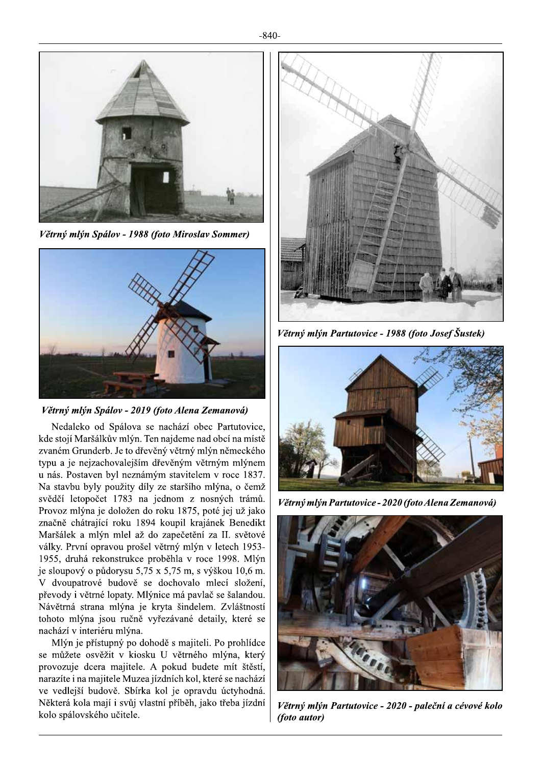

Větrný mlýn Spálov - 1988 (foto Miroslav Sommer)



Větrný mlýn Spálov - 2019 (foto Alena Zemanová)

Nedaleko od Spálova se nachází obec Partutovice, kde stojí Maršálkův mlýn. Ten najdeme nad obcí na místě zvaném Grunderb. Je to dřevěný větrný mlýn německého typu a je nejzachovalejším dřevěným větrným mlýnem u nás. Postaven byl neznámým stavitelem v roce 1837. Na stavbu byly použity díly ze staršího mlýna, o čemž svědčí letopočet 1783 na jednom z nosných trámů. Provoz mlýna je doložen do roku 1875, poté jej už jako značně chátrající roku 1894 koupil krajánek Benedikt Maršálek a mlýn mlel až do zapečetění za II. světové války. První opravou prošel větrný mlýn v letech 1953-1955, druhá rekonstrukce proběhla v roce 1998. Mlýn je sloupový o půdorysu 5,75 x 5,75 m, s výškou 10,6 m. V dvoupatrové budově se dochovalo mlecí složení, převody i větrné lopaty. Mlýnice má pavlač se šalandou. Návětrná strana mlýna je kryta šindelem. Zvláštností tohoto mlýna jsou ručně vyřezávané detaily, které se nachází v interiéru mlýna.

Mlýn je přístupný po dohodě s majiteli. Po prohlídce se můžete osvěžit v kiosku U větrného mlýna, který provozuje dcera majitele. A pokud budete mít štěstí, narazíte i na majitele Muzea jízdních kol, které se nachází ve vedlejší budově. Sbírka kol je opravdu úctyhodná. Některá kola mají i svůj vlastní příběh, jako třeba jízdní kolo spálovského učitele.



Větrný mlýn Partutovice - 1988 (foto Josef Šustek)



Větrný mlýn Partutovice - 2020 (foto Alena Zemanová)



Větrný mlýn Partutovice - 2020 - paleční a cévové kolo (foto autor)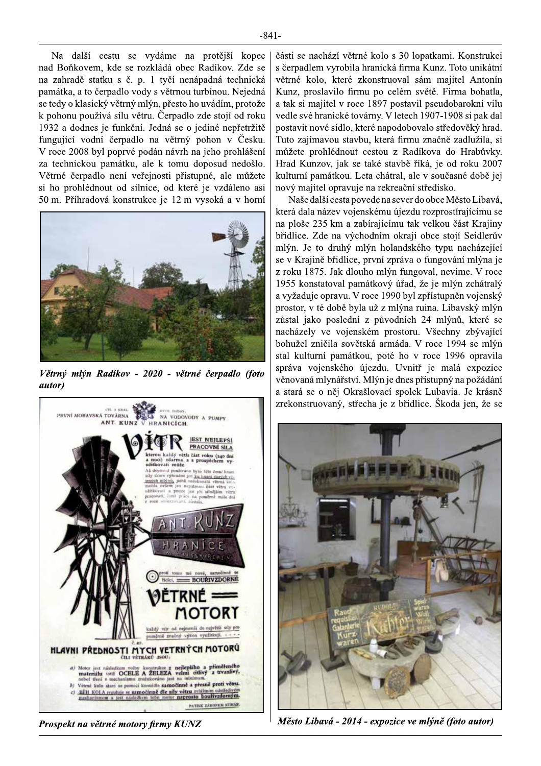Na další cestu se vydáme na protější kopec nad Boňkovem, kde se rozkládá obec Radíkov. Zde se na zahradě statku s č. p. 1 tyčí nenápadná technická památka, a to čerpadlo vody s větrnou turbínou. Nejedná se tedy o klasický větrný mlýn, přesto ho uvádím, protože k pohonu používá sílu větru. Čerpadlo zde stojí od roku 1932 a dodnes je funkční. Jedná se o jediné nepřetržitě fungující vodní čerpadlo na větrný pohon v Česku. V roce 2008 byl poprvé podán návrh na jeho prohlášení za technickou památku, ale k tomu doposud nedošlo. Větrné čerpadlo není veřejnosti přístupné, ale můžete si ho prohlédnout od silnice, od které je vzdáleno asi 50 m. Příhradová konstrukce je 12 m vysoká a v horní



Větrný mlýn Radíkov - 2020 - větrné čerpadlo (foto *autor*)



Prospekt na větrné motory firmy KUNZ

části se nachází větrné kolo s 30 lopatkami. Konstrukci s čerpadlem vyrobila hranická firma Kunz. Toto unikátní větrné kolo, které zkonstruoval sám majitel Antonín Kunz, proslavilo firmu po celém světě. Firma bohatla, a tak si majitel v roce 1897 postavil pseudobarokní vilu vedle své hranické továrny. V letech 1907-1908 si pak dal postavit nové sídlo, které napodobovalo středověký hrad. Tuto zajímavou stavbu, která firmu značně zadlužila, si můžete prohlédnout cestou z Radíkova do Hrabůvky. Hrad Kunzov, jak se také stavbě říká, je od roku 2007 kulturní památkou. Leta chátral, ale v současné době jej nový majitel opravuje na rekreační středisko.

Naše další cesta povede na sever do obce Město Libavá, která dala název vojenskému újezdu rozprostírajícímu se na ploše 235 km a zabírajícímu tak velkou část Krajiny břidlice. Zde na východním okraji obce stojí Seidlerův mlýn. Je to druhý mlýn holandského typu nacházející se v Krajině břidlice, první zpráva o fungování mlýna je z roku 1875. Jak dlouho mlýn fungoval, nevíme. V roce 1955 konstatoval památkový úřad, že je mlýn zchátralý a vyžaduje opravu. V roce 1990 byl zpřístupněn vojenský prostor, v té době byla už z mlýna ruina. Libavský mlýn zůstal jako poslední z původních 24 mlýnů, které se nacházely ve vojenském prostoru. Všechny zbývající bohužel zničila sovětská armáda. V roce 1994 se mlýn stal kulturní památkou, poté ho v roce 1996 opravila správa vojenského újezdu. Uvnitř je malá expozice věnovaná mlynářství. Mlýn je dnes přístupný na požádání a stará se o něj Okrašlovací spolek Lubavia. Je krásně zrekonstruovaný, střecha je z břidlice. Škoda jen, že se



Město Libavá - 2014 - expozice ve mlýně (foto autor)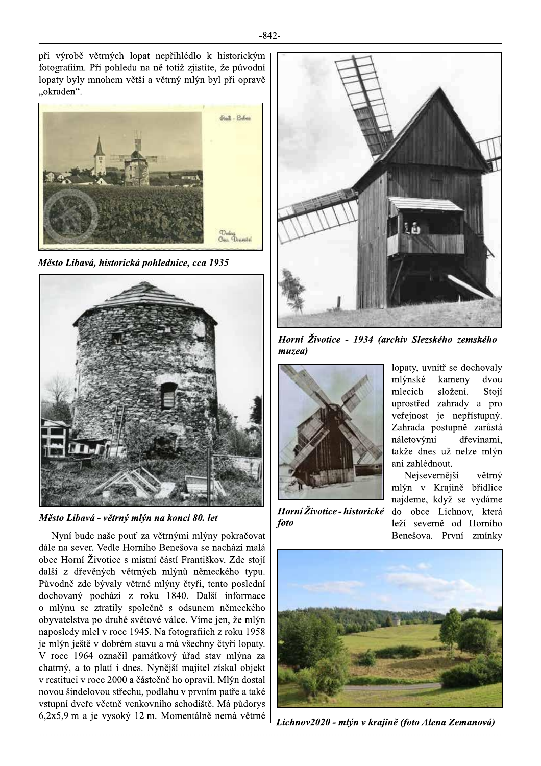při výrobě větrných lopat nepřihlédlo k historickým fotografiím. Při pohledu na ně totiž zjistíte, že původní lopaty byly mnohem větší a větrný mlýn byl při opravě "okraden".



Město Libavá, historická pohlednice, cca 1935



Město Libavá - větrný mlýn na konci 80. let

Nyní bude naše pouť za větrnými mlýny pokračovat dále na sever. Vedle Horního Benešova se nachází malá obec Horní Životice s místní částí Františkov. Zde stojí další z dřevěných větrných mlýnů německého typu. Původně zde bývaly větrné mlýny čtyři, tento poslední dochovaný pochází z roku 1840. Další informace o mlýnu se ztratily společně s odsunem německého obyvatelstva po druhé světové válce. Víme jen, že mlýn naposledy mlel v roce 1945. Na fotografiích z roku 1958 je mlýn ještě v dobrém stavu a má všechny čtvři lopaty. V roce 1964 označil památkový úřad stav mlýna za chatrný, a to platí i dnes. Nynější majitel získal objekt v restituci v roce 2000 a částečně ho opravil. Mlýn dostal novou šindelovou střechu, podlahu v prvním patře a také vstupní dveře včetně venkovního schodiště. Má půdorys 6,2x5,9 m a je vysoký 12 m. Momentálně nemá větrné



Horní Životice - 1934 (archiv Slezského zemského  $muzea$ 



Horní Životice - historické foto

lopaty, uvnitř se dochovaly mlýnské kameny dvou mlecích složení. Stojí uprostřed zahrady a pro veřejnost je nepřístupný. Zahrada postupně zarůstá náletovými dřevinami, takže dnes už nelze mlýn ani zahlédnout.

Nejsevernější větrný mlýn v Krajině břidlice najdeme, když se vydáme do obce Lichnov, která leží severně od Horního Benešova. První zmínky



Lichnov2020 - mlýn v krajině (foto Alena Zemanová)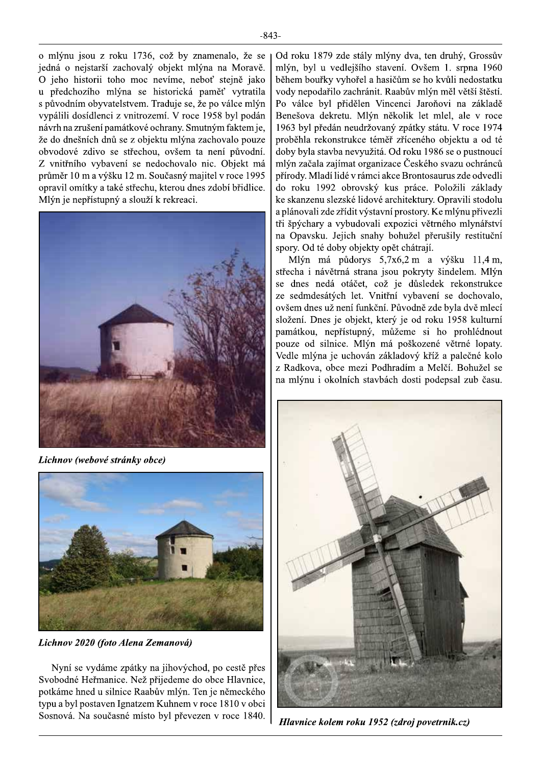o mlýnu jsou z roku 1736, což by znamenalo, že se jedná o nejstarší zachovalý objekt mlýna na Moravě. O jeho historii toho moc nevíme, neboť stejně jako u předchozího mlýna se historická paměť vytratila s původním obyvatelstvem. Traduje se, že po válce mlýn vypálili dosídlenci z vnitrozemí. V roce 1958 byl podán návrh na zrušení památkové ochrany. Smutným faktem je, že do dnešních dnů se z objektu mlýna zachovalo pouze obvodové zdivo se střechou, ovšem ta není původní. Z vnitřního vybavení se nedochovalo nic. Objekt má průměr 10 m a výšku 12 m. Současný majitel v roce 1995 opravil omítky a také střechu, kterou dnes zdobí břidlice. Mlýn je nepřístupný a slouží k rekreaci.



Lichnov (webové stránky obce)



Lichnov 2020 (foto Alena Zemanová)

Nyní se vydáme zpátky na jihovýchod, po cestě přes Svobodné Heřmanice. Než přijedeme do obce Hlavnice, potkáme hned u silnice Raabův mlýn. Ten je německého typu a byl postaven Ignatzem Kuhnem v roce 1810 v obci Sosnová. Na současné místo byl převezen v roce 1840. Od roku 1879 zde stály mlýny dva, ten druhý, Grossův mlýn, byl u vedlejšího stavení. Ovšem 1. srpna 1960 během bouřky vyhořel a hasičům se ho kvůli nedostatku vody nepodařilo zachránit. Raabův mlýn měl větší štěstí. Po válce byl přidělen Vincenci Jaroňovi na základě Benešova dekretu. Mlýn několik let mlel, ale v roce 1963 byl předán neudržovaný zpátky státu. V roce 1974 proběhla rekonstrukce téměř zříceného objektu a od té doby byla stavba nevyužitá. Od roku 1986 se o pustnoucí mlýn začala zajímat organizace Českého svazu ochránců přírody. Mladí lidé v rámci akce Brontosaurus zde odvedli do roku 1992 obrovský kus práce. Položili základy ke skanzenu slezské lidové architektury. Opravili stodolu a plánovali zde zřídit výstavní prostory. Ke mlýnu přivezli tři špýchary a vybudovali expozici větrného mlynářství na Opavsku. Jejich snahy bohužel přerušily restituční spory. Od té doby objekty opět chátrají.

Mlýn má půdorys 5,7x6,2 m a výšku 11,4 m, střecha i návětrná strana jsou pokryty šindelem. Mlýn se dnes nedá otáčet, což je důsledek rekonstrukce ze sedmdesátých let. Vnitřní vybavení se dochovalo, ovšem dnes už není funkční. Původně zde byla dvě mlecí složení. Dnes je objekt, který je od roku 1958 kulturní památkou, nepřístupný, můžeme si ho prohlédnout pouze od silnice. Mlýn má poškozené větrné lopaty. Vedle mlýna je uchován základový kříž a palečné kolo z Radkova, obce mezi Podhradím a Melčí. Bohužel se na mlýnu i okolních stavbách dosti podepsal zub času.



Hlavnice kolem roku 1952 (zdroj povetrnik.cz)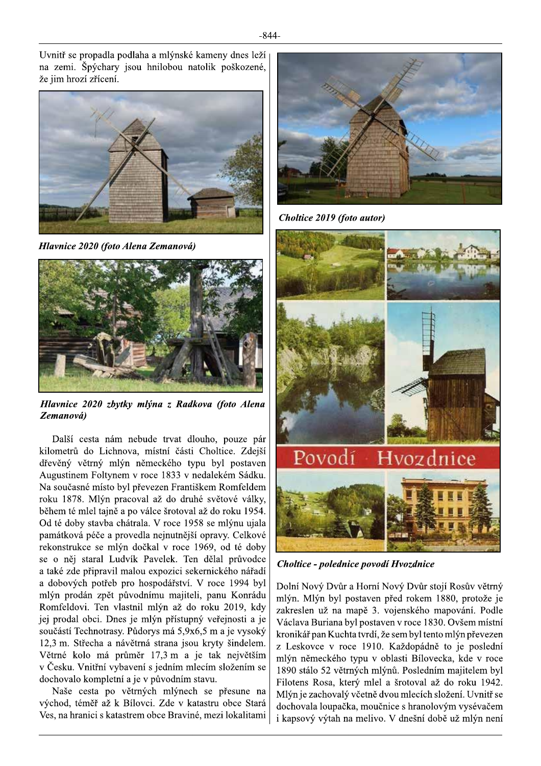Uvnitř se propadla podlaha a mlýnské kameny dnes leží na zemi. Špýchary jsou hnilobou natolik poškozené, že jim hrozí zřícení.



Hlavnice 2020 (foto Alena Zemanová)



Hlavnice 2020 zbytky mlýna z Radkova (foto Alena Zemanová)

Další cesta nám nebude trvat dlouho, pouze pár kilometrů do Lichnova, místní části Choltice. Zdejší dřevěný větrný mlýn německého typu byl postaven Augustinem Foltynem v roce 1833 v nedalekém Sádku. Na současné místo byl převezen Františkem Romfeldem roku 1878. Mlýn pracoval až do druhé světové války, během té mlel tajně a po válce šrotoval až do roku 1954. Od té doby stavba chátrala. V roce 1958 se mlýnu ujala památková péče a provedla nejnutnější opravy. Celkové rekonstrukce se mlýn dočkal v roce 1969, od té doby se o něj staral Ludvík Pavelek. Ten dělal průvodce a také zde připravil malou expozici sekernického nářadí a dobových potřeb pro hospodářství. V roce 1994 byl mlýn prodán zpět původnímu majiteli, panu Konrádu Romfeldovi. Ten vlastnil mlýn až do roku 2019, kdy jej prodal obci. Dnes je mlýn přístupný veřejnosti a je součástí Technotrasy. Půdorys má 5,9x6,5 m a je vysoký 12.3 m. Střecha a návětrná strana jsou kryty šindelem. Větrné kolo má průměr 17,3 m a je tak největším v Česku. Vnitřní vybavení s jedním mlecím složením se dochovalo kompletní a je v původním stavu.

Naše cesta po větrných mlýnech se přesune na východ, téměř až k Bílovci. Zde v katastru obce Stará Ves, na hranici s katastrem obce Braviné, mezi lokalitami



Choltice 2019 (foto autor)



Choltice - polednice povodí Hvozdnice

Dolní Nový Dvůr a Horní Nový Dvůr stojí Rosův větrný mlýn. Mlýn byl postaven před rokem 1880, protože je zakreslen už na mapě 3. vojenského mapování. Podle Václava Buriana byl postaven v roce 1830. Ovšem místní kronikář pan Kuchta tvrdí, že sem byl tento mlýn převezen z Leskovce v roce 1910. Každopádně to je poslední mlýn německého typu v oblasti Bílovecka, kde v roce 1890 stálo 52 větrných mlýnů. Posledním majitelem byl Filotens Rosa, který mlel a šrotoval až do roku 1942. Mlýn je zachovalý včetně dvou mlecích složení. Uvnitř se dochovala loupačka, moučnice s hranolovým vysévačem i kapsový výtah na melivo. V dnešní době už mlýn není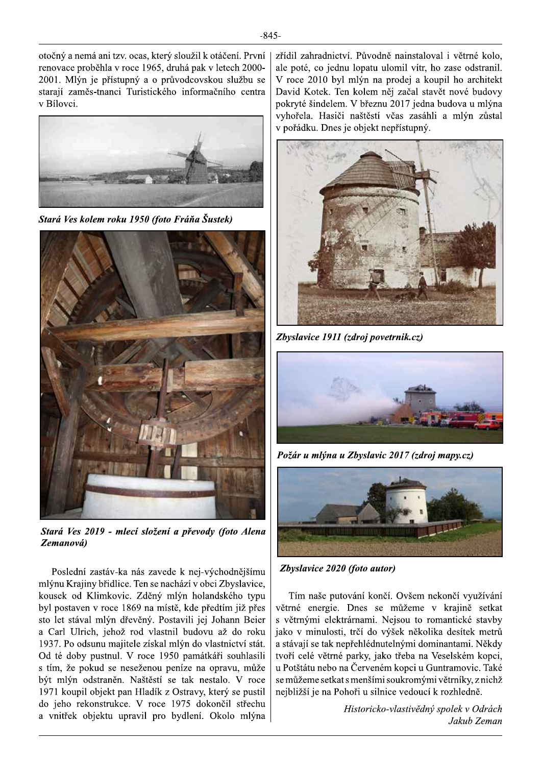otočný a nemá ani tzv. ocas, který sloužil k otáčení. První renovace proběhla v roce 1965, druhá pak v letech 2000-2001. Mlýn je přístupný a o průvodcovskou službu se starají zaměs-tnanci Turistického informačního centra v Bílovci.



Stará Ves kolem roku 1950 (foto Fráňa Šustek)



Stará Ves 2019 - mlecí složení a převody (foto Alena Zemanová)

Poslední zastáv-ka nás zavede k nej-východnějšímu mlýnu Krajiny břidlice. Ten se nachází v obci Zbyslavice, kousek od Klimkovic. Zděný mlýn holandského typu byl postaven v roce 1869 na místě, kde předtím již přes sto let stával mlýn dřevěný. Postavili jej Johann Beier a Carl Ulrich, jehož rod vlastnil budovu až do roku 1937. Po odsunu majitele získal mlýn do vlastnictví stát. Od té doby pustnul. V roce 1950 památkáři souhlasili s tím, že pokud se neseženou peníze na opravu, může být mlýn odstraněn. Naštěstí se tak nestalo. V roce 1971 koupil objekt pan Hladík z Ostravy, který se pustil do jeho rekonstrukce. V roce 1975 dokončil střechu a vnitřek objektu upravil pro bydlení. Okolo mlýna

zřídil zahradnictví. Původně nainstaloval i větrné kolo, ale poté, co jednu lopatu ulomil vítr, ho zase odstranil. V roce 2010 byl mlýn na prodej a koupil ho architekt David Kotek. Ten kolem něj začal stavět nové budovy pokryté šindelem. V březnu 2017 jedna budova u mlýna vyhořela. Hasiči naštěstí včas zasáhli a mlýn zůstal v pořádku. Dnes je objekt nepřístupný.



Zbyslavice 1911 (zdroj povetrnik.cz)



Požár u mlýna u Zbyslavic 2017 (zdroj mapy.cz)



Zbyslavice 2020 (foto autor)

Tím naše putování končí. Ovšem nekončí využívání větrné energie. Dnes se můžeme v krajině setkat s větrnými elektrárnami. Nejsou to romantické stavby jako v minulosti, trčí do výšek několika desítek metrů a stávají se tak nepřehlédnutelnými dominantami. Někdy tvoří celé větrné parky, jako třeba na Veselském kopci, u Potštátu nebo na Červeném kopci u Guntramovic. Také se můžeme setkat s menšími soukromými větrníky, z nichž nejbližší je na Pohoři u silnice vedoucí k rozhledně.

> Historicko-vlastivědný spolek v Odrách Jakub Zeman